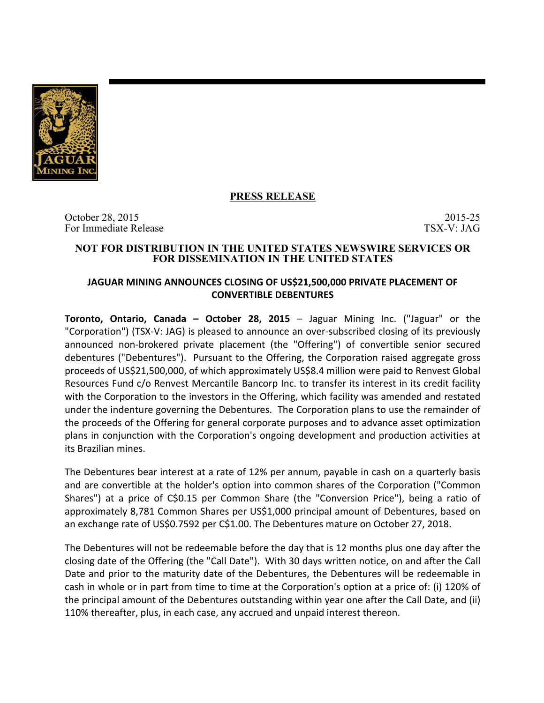

# **PRESS RELEASE**

October 28, 2015 2015 2015 2015 For Immediate Release TSX-V: JAG

#### **NOT FOR DISTRIBUTION IN THE UNITED STATES NEWSWIRE SERVICES OR FOR DISSEMINATION IN THE UNITED STATES**

## **JAGUAR MINING ANNOUNCES CLOSING OF US\$21,500,000 PRIVATE PLACEMENT OF CONVERTIBLE DEBENTURES**

**Toronto, Ontario, Canada – October 28, 2015** – Jaguar Mining Inc. ("Jaguar" or the "Corporation") (TSX-V: JAG) is pleased to announce an over-subscribed closing of its previously announced non-brokered private placement (the "Offering") of convertible senior secured debentures ("Debentures"). Pursuant to the Offering, the Corporation raised aggregate gross proceeds of US\$21,500,000, of which approximately US\$8.4 million were paid to Renvest Global Resources Fund c/o Renvest Mercantile Bancorp Inc. to transfer its interest in its credit facility with the Corporation to the investors in the Offering, which facility was amended and restated under the indenture governing the Debentures. The Corporation plans to use the remainder of the proceeds of the Offering for general corporate purposes and to advance asset optimization plans in conjunction with the Corporation's ongoing development and production activities at its Brazilian mines.

The Debentures bear interest at a rate of 12% per annum, payable in cash on a quarterly basis and are convertible at the holder's option into common shares of the Corporation ("Common Shares") at a price of C\$0.15 per Common Share (the "Conversion Price"), being a ratio of approximately 8,781 Common Shares per US\$1,000 principal amount of Debentures, based on an exchange rate of US\$0.7592 per C\$1.00. The Debentures mature on October 27, 2018.

The Debentures will not be redeemable before the day that is 12 months plus one day after the closing date of the Offering (the "Call Date"). With 30 days written notice, on and after the Call Date and prior to the maturity date of the Debentures, the Debentures will be redeemable in cash in whole or in part from time to time at the Corporation's option at a price of: (i) 120% of the principal amount of the Debentures outstanding within year one after the Call Date, and (ii) 110% thereafter, plus, in each case, any accrued and unpaid interest thereon.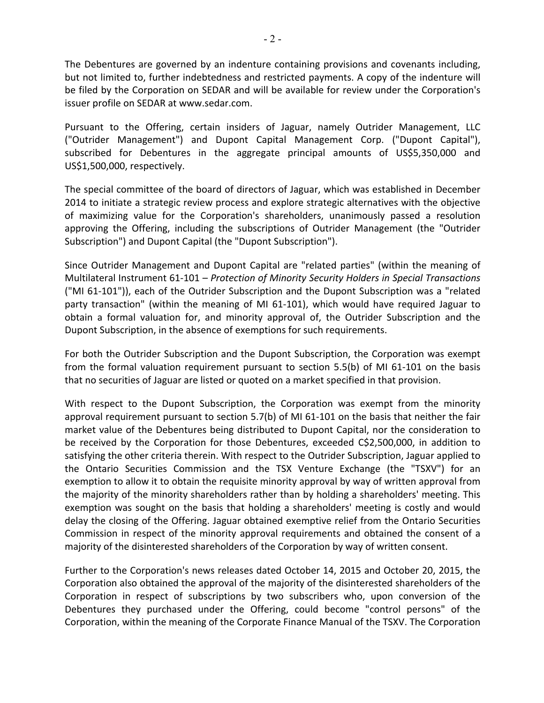The Debentures are governed by an indenture containing provisions and covenants including, but not limited to, further indebtedness and restricted payments. A copy of the indenture will be filed by the Corporation on SEDAR and will be available for review under the Corporation's issuer profile on SEDAR at www.sedar.com.

Pursuant to the Offering, certain insiders of Jaguar, namely Outrider Management, LLC ("Outrider Management") and Dupont Capital Management Corp. ("Dupont Capital"), subscribed for Debentures in the aggregate principal amounts of US\$5,350,000 and US\$1,500,000, respectively.

The special committee of the board of directors of Jaguar, which was established in December 2014 to initiate a strategic review process and explore strategic alternatives with the objective of maximizing value for the Corporation's shareholders, unanimously passed a resolution approving the Offering, including the subscriptions of Outrider Management (the "Outrider Subscription") and Dupont Capital (the "Dupont Subscription").

Since Outrider Management and Dupont Capital are "related parties" (within the meaning of Multilateral Instrument 61-101 - Protection of Minority Security Holders in Special Transactions ("MI 61-101")), each of the Outrider Subscription and the Dupont Subscription was a "related party transaction" (within the meaning of MI 61-101), which would have required Jaguar to obtain a formal valuation for, and minority approval of, the Outrider Subscription and the Dupont Subscription, in the absence of exemptions for such requirements.

For both the Outrider Subscription and the Dupont Subscription, the Corporation was exempt from the formal valuation requirement pursuant to section  $5.5(b)$  of MI 61-101 on the basis that no securities of Jaguar are listed or quoted on a market specified in that provision.

With respect to the Dupont Subscription, the Corporation was exempt from the minority approval requirement pursuant to section  $5.7(b)$  of MI 61-101 on the basis that neither the fair market value of the Debentures being distributed to Dupont Capital, nor the consideration to be received by the Corporation for those Debentures, exceeded C\$2,500,000, in addition to satisfying the other criteria therein. With respect to the Outrider Subscription, Jaguar applied to the Ontario Securities Commission and the TSX Venture Exchange (the "TSXV") for an exemption to allow it to obtain the requisite minority approval by way of written approval from the majority of the minority shareholders rather than by holding a shareholders' meeting. This exemption was sought on the basis that holding a shareholders' meeting is costly and would delay the closing of the Offering. Jaguar obtained exemptive relief from the Ontario Securities Commission in respect of the minority approval requirements and obtained the consent of a majority of the disinterested shareholders of the Corporation by way of written consent.

Further to the Corporation's news releases dated October 14, 2015 and October 20, 2015, the Corporation also obtained the approval of the majority of the disinterested shareholders of the Corporation in respect of subscriptions by two subscribers who, upon conversion of the Debentures they purchased under the Offering, could become "control persons" of the Corporation, within the meaning of the Corporate Finance Manual of the TSXV. The Corporation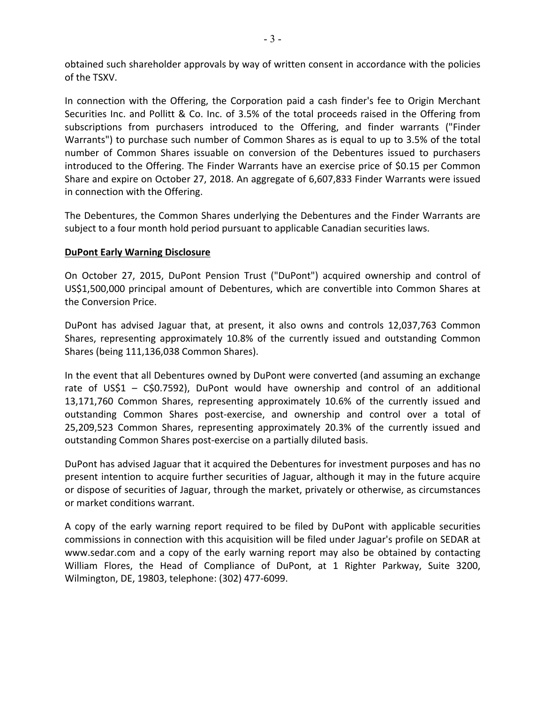obtained such shareholder approvals by way of written consent in accordance with the policies of the TSXV.

In connection with the Offering, the Corporation paid a cash finder's fee to Origin Merchant Securities Inc. and Pollitt & Co. Inc. of 3.5% of the total proceeds raised in the Offering from subscriptions from purchasers introduced to the Offering, and finder warrants ("Finder Warrants") to purchase such number of Common Shares as is equal to up to 3.5% of the total number of Common Shares issuable on conversion of the Debentures issued to purchasers introduced to the Offering. The Finder Warrants have an exercise price of \$0.15 per Common Share and expire on October 27, 2018. An aggregate of 6,607,833 Finder Warrants were issued in connection with the Offering.

The Debentures, the Common Shares underlying the Debentures and the Finder Warrants are subject to a four month hold period pursuant to applicable Canadian securities laws.

## **DuPont Early Warning Disclosure**

On October 27, 2015, DuPont Pension Trust ("DuPont") acquired ownership and control of US\$1,500,000 principal amount of Debentures, which are convertible into Common Shares at the Conversion Price.

DuPont has advised Jaguar that, at present, it also owns and controls 12,037,763 Common Shares, representing approximately 10.8% of the currently issued and outstanding Common Shares (being 111,136,038 Common Shares).

In the event that all Debentures owned by DuPont were converted (and assuming an exchange rate of US\$1 – C\$0.7592), DuPont would have ownership and control of an additional 13,171,760 Common Shares, representing approximately 10.6% of the currently issued and outstanding Common Shares post-exercise, and ownership and control over a total of 25,209,523 Common Shares, representing approximately 20.3% of the currently issued and outstanding Common Shares post-exercise on a partially diluted basis.

DuPont has advised Jaguar that it acquired the Debentures for investment purposes and has no present intention to acquire further securities of Jaguar, although it may in the future acquire or dispose of securities of Jaguar, through the market, privately or otherwise, as circumstances or market conditions warrant.

A copy of the early warning report required to be filed by DuPont with applicable securities commissions in connection with this acquisition will be filed under Jaguar's profile on SEDAR at www.sedar.com and a copy of the early warning report may also be obtained by contacting William Flores, the Head of Compliance of DuPont, at 1 Righter Parkway, Suite 3200, Wilmington, DE, 19803, telephone: (302) 477-6099.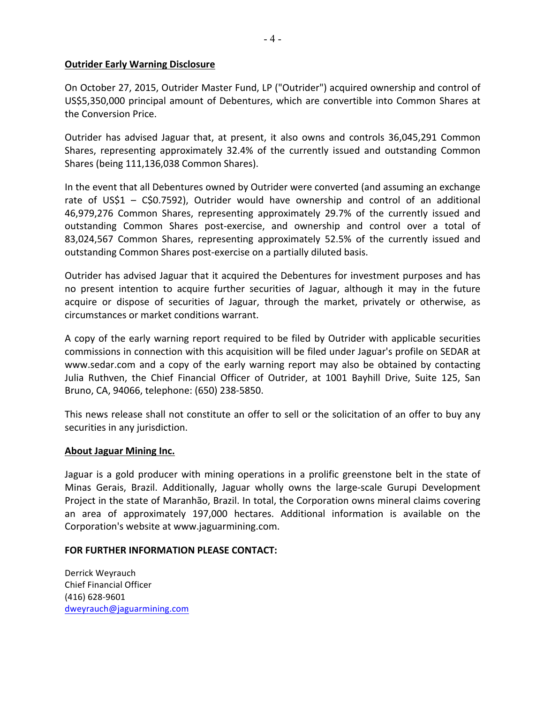## **Outrider Early Warning Disclosure**

On October 27, 2015, Outrider Master Fund, LP ("Outrider") acquired ownership and control of US\$5,350,000 principal amount of Debentures, which are convertible into Common Shares at the Conversion Price.

Outrider has advised Jaguar that, at present, it also owns and controls 36,045,291 Common Shares, representing approximately 32.4% of the currently issued and outstanding Common Shares (being 111,136,038 Common Shares).

In the event that all Debentures owned by Outrider were converted (and assuming an exchange rate of US\$1 – C\$0.7592), Outrider would have ownership and control of an additional 46,979,276 Common Shares, representing approximately 29.7% of the currently issued and outstanding Common Shares post-exercise, and ownership and control over a total of 83,024,567 Common Shares, representing approximately 52.5% of the currently issued and outstanding Common Shares post-exercise on a partially diluted basis.

Outrider has advised Jaguar that it acquired the Debentures for investment purposes and has no present intention to acquire further securities of Jaguar, although it may in the future acquire or dispose of securities of Jaguar, through the market, privately or otherwise, as circumstances or market conditions warrant.

A copy of the early warning report required to be filed by Outrider with applicable securities commissions in connection with this acquisition will be filed under Jaguar's profile on SEDAR at www.sedar.com and a copy of the early warning report may also be obtained by contacting Julia Ruthven, the Chief Financial Officer of Outrider, at 1001 Bayhill Drive, Suite 125, San Bruno, CA, 94066, telephone: (650) 238-5850.

This news release shall not constitute an offer to sell or the solicitation of an offer to buy any securities in any jurisdiction.

## About Jaguar Mining Inc.

Jaguar is a gold producer with mining operations in a prolific greenstone belt in the state of Minas Gerais, Brazil. Additionally, Jaguar wholly owns the large-scale Gurupi Development Project in the state of Maranhão, Brazil. In total, the Corporation owns mineral claims covering an area of approximately 197,000 hectares. Additional information is available on the Corporation's website at www.jaguarmining.com.

#### **FOR FURTHER INFORMATION PLEASE CONTACT:**

Derrick Weyrauch Chief Financial Officer (416) 628-9601 dweyrauch@jaguarmining.com